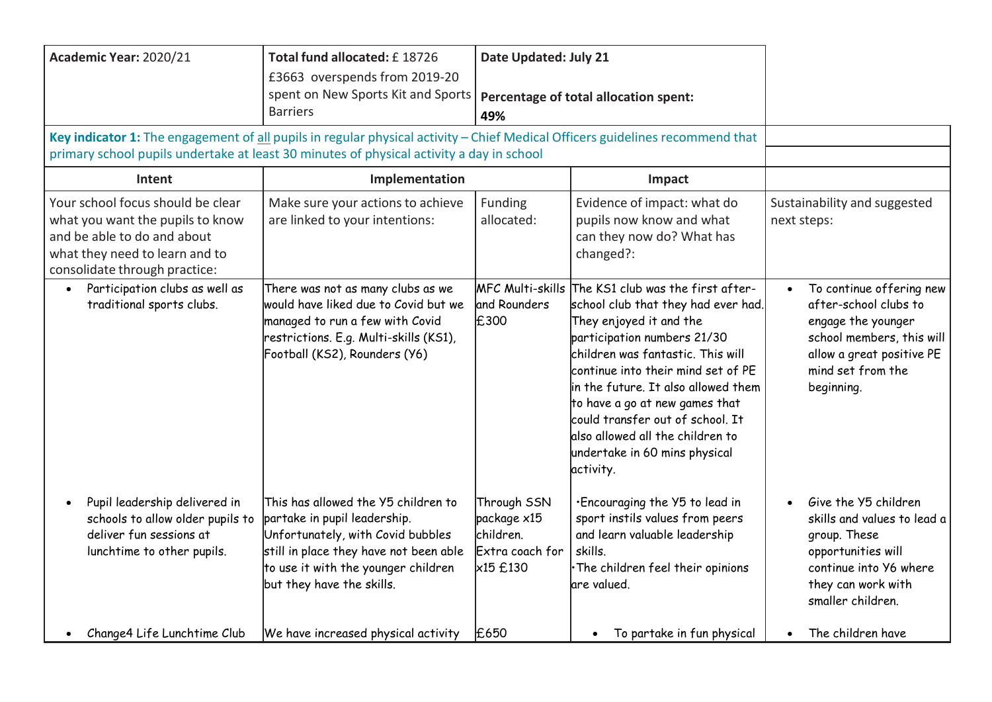| Academic Year: 2020/21                                                                                                                                                                                                    | Total fund allocated: £18726<br>£3663 overspends from 2019-20<br>spent on New Sports Kit and Sports<br><b>Barriers</b>                                                                                                 | Date Updated: July 21<br>Percentage of total allocation spent:<br>49%  |                                                                                                                                                                                                                                                                                                                                                                                                              |                                                                                                                                                                      |
|---------------------------------------------------------------------------------------------------------------------------------------------------------------------------------------------------------------------------|------------------------------------------------------------------------------------------------------------------------------------------------------------------------------------------------------------------------|------------------------------------------------------------------------|--------------------------------------------------------------------------------------------------------------------------------------------------------------------------------------------------------------------------------------------------------------------------------------------------------------------------------------------------------------------------------------------------------------|----------------------------------------------------------------------------------------------------------------------------------------------------------------------|
| Key indicator 1: The engagement of all pupils in regular physical activity - Chief Medical Officers guidelines recommend that<br>primary school pupils undertake at least 30 minutes of physical activity a day in school |                                                                                                                                                                                                                        |                                                                        |                                                                                                                                                                                                                                                                                                                                                                                                              |                                                                                                                                                                      |
| Intent                                                                                                                                                                                                                    | Implementation                                                                                                                                                                                                         |                                                                        | Impact                                                                                                                                                                                                                                                                                                                                                                                                       |                                                                                                                                                                      |
| Your school focus should be clear<br>what you want the pupils to know<br>and be able to do and about<br>what they need to learn and to<br>consolidate through practice:                                                   | Make sure your actions to achieve<br>are linked to your intentions:                                                                                                                                                    | Funding<br>allocated:                                                  | Evidence of impact: what do<br>pupils now know and what<br>can they now do? What has<br>changed?:                                                                                                                                                                                                                                                                                                            | Sustainability and suggested<br>next steps:                                                                                                                          |
| Participation clubs as well as<br>traditional sports clubs.                                                                                                                                                               | There was not as many clubs as we<br>would have liked due to Covid but we<br>managed to run a few with Covid<br>restrictions. E.g. Multi-skills (KS1),<br>Football (KS2), Rounders (Y6)                                | <b>MFC Multi-skills</b><br>and Rounders<br>£300                        | The KS1 club was the first after-<br>school club that they had ever had.<br>They enjoyed it and the<br>participation numbers 21/30<br>children was fantastic. This will<br>continue into their mind set of PE<br>in the future. It also allowed them<br>to have a go at new games that<br>could transfer out of school. It<br>also allowed all the children to<br>undertake in 60 mins physical<br>activity. | To continue offering new<br>after-school clubs to<br>engage the younger<br>school members, this will<br>allow a great positive PE<br>mind set from the<br>beginning. |
| Pupil leadership delivered in<br>schools to allow older pupils to<br>deliver fun sessions at<br>lunchtime to other pupils.                                                                                                | This has allowed the Y5 children to<br>partake in pupil leadership.<br>Unfortunately, with Covid bubbles<br>still in place they have not been able<br>to use it with the younger children<br>but they have the skills. | Through SSN<br>package x15<br>children.<br>Extra coach for<br>×15 £130 | . Encouraging the Y5 to lead in<br>sport instils values from peers<br>and learn valuable leadership<br>skills.<br>· The children feel their opinions<br>lare valued.                                                                                                                                                                                                                                         | Give the Y5 children<br>skills and values to lead a<br>group. These<br>opportunities will<br>continue into Y6 where<br>they can work with<br>smaller children.       |
| Change4 Life Lunchtime Club                                                                                                                                                                                               | We have increased physical activity                                                                                                                                                                                    | £650                                                                   | To partake in fun physical<br>$\bullet$                                                                                                                                                                                                                                                                                                                                                                      | The children have<br>$\bullet$                                                                                                                                       |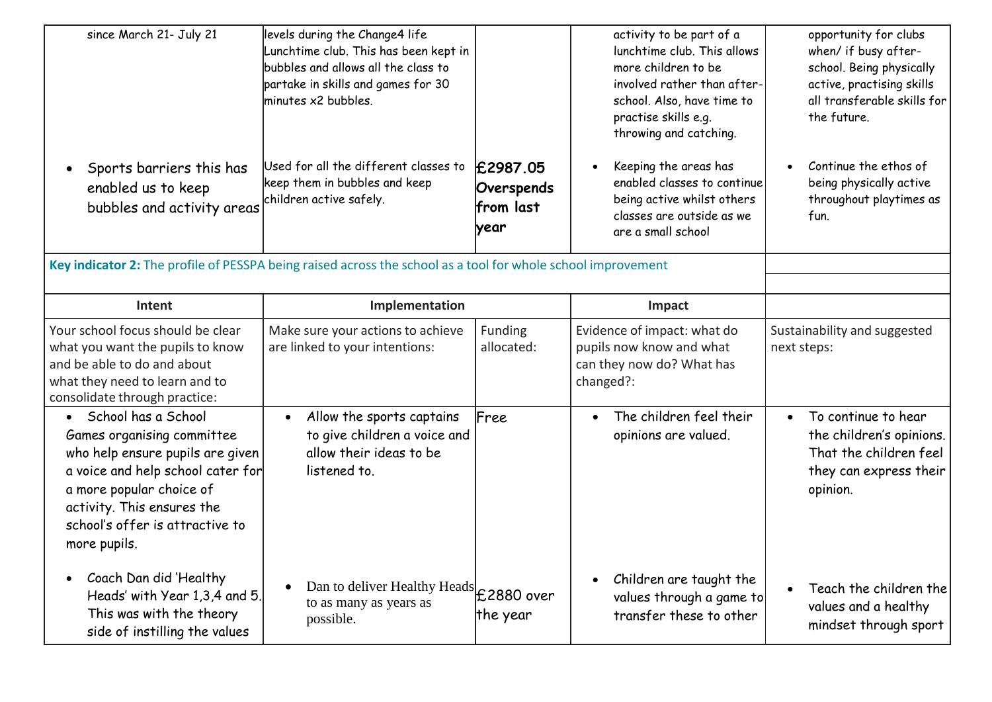| since March 21- July 21<br>Sports barriers this has<br>enabled us to keep<br>bubbles and activity areas                                                                                                                                              | levels during the Change4 life<br>Lunchtime club. This has been kept in<br>bubbles and allows all the class to<br>partake in skills and games for 30<br>minutes x2 bubbles.<br>Used for all the different classes to<br>keep them in bubbles and keep<br>children active safely. | E2987.05<br>Overspends<br>from last<br>lyear | activity to be part of a<br>lunchtime club. This allows<br>more children to be<br>involved rather than after-<br>school. Also, have time to<br>practise skills e.g.<br>throwing and catching.<br>Keeping the areas has<br>enabled classes to continue<br>being active whilst others<br>classes are outside as we<br>are a small school | opportunity for clubs<br>when/ if busy after-<br>school. Being physically<br>active, practising skills<br>all transferable skills for<br>the future.<br>Continue the ethos of<br>being physically active<br>throughout playtimes as<br>fun. |
|------------------------------------------------------------------------------------------------------------------------------------------------------------------------------------------------------------------------------------------------------|----------------------------------------------------------------------------------------------------------------------------------------------------------------------------------------------------------------------------------------------------------------------------------|----------------------------------------------|----------------------------------------------------------------------------------------------------------------------------------------------------------------------------------------------------------------------------------------------------------------------------------------------------------------------------------------|---------------------------------------------------------------------------------------------------------------------------------------------------------------------------------------------------------------------------------------------|
| Key indicator 2: The profile of PESSPA being raised across the school as a tool for whole school improvement                                                                                                                                         |                                                                                                                                                                                                                                                                                  |                                              |                                                                                                                                                                                                                                                                                                                                        |                                                                                                                                                                                                                                             |
| Intent                                                                                                                                                                                                                                               | Implementation                                                                                                                                                                                                                                                                   |                                              | Impact                                                                                                                                                                                                                                                                                                                                 |                                                                                                                                                                                                                                             |
| Your school focus should be clear<br>what you want the pupils to know<br>and be able to do and about<br>what they need to learn and to<br>consolidate through practice:                                                                              | Make sure your actions to achieve<br>are linked to your intentions:                                                                                                                                                                                                              | Funding<br>allocated:                        | Evidence of impact: what do<br>pupils now know and what<br>can they now do? What has<br>changed?:                                                                                                                                                                                                                                      | Sustainability and suggested<br>next steps:                                                                                                                                                                                                 |
| School has a School<br>$\bullet$<br>Games organising committee<br>who help ensure pupils are given<br>a voice and help school cater for<br>a more popular choice of<br>activity. This ensures the<br>school's offer is attractive to<br>more pupils. | Allow the sports captains<br>$\bullet$<br>to give children a voice and<br>allow their ideas to be<br>listened to.                                                                                                                                                                | Free                                         | The children feel their<br>$\bullet$<br>opinions are valued.                                                                                                                                                                                                                                                                           | To continue to hear<br>$\bullet$<br>the children's opinions.<br>That the children feel<br>they can express their<br>opinion.                                                                                                                |
| Coach Dan did 'Healthy<br>Heads' with Year 1,3,4 and 5.<br>This was with the theory<br>side of instilling the values                                                                                                                                 | Dan to deliver Healthy Heads £2880 over<br>to as many as years as<br>possible.                                                                                                                                                                                                   | the year                                     | Children are taught the<br>$\bullet$<br>values through a game to<br>transfer these to other                                                                                                                                                                                                                                            | Teach the children the<br>$\bullet$<br>values and a healthy<br>mindset through sport                                                                                                                                                        |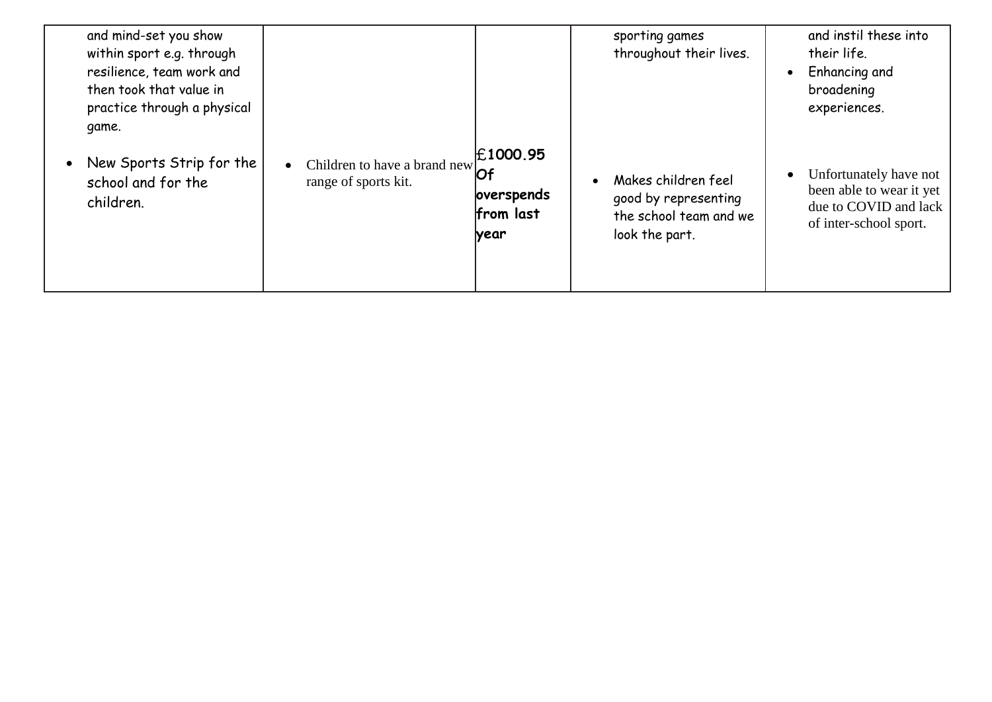| and mind-set you show<br>within sport e.g. through<br>resilience, team work and<br>then took that value in<br>practice through a physical<br>game. |                                                                      |                                                    | sporting games<br>throughout their lives.                                               | and instil these into<br>their life.<br>Enhancing and<br>$\bullet$<br>broadening<br>experiences.      |
|----------------------------------------------------------------------------------------------------------------------------------------------------|----------------------------------------------------------------------|----------------------------------------------------|-----------------------------------------------------------------------------------------|-------------------------------------------------------------------------------------------------------|
| New Sports Strip for the<br>school and for the<br>children.                                                                                        | Children to have a brand new $\overline{Of}$<br>range of sports kit. | <b>£1000.95</b><br>overspends<br>from last<br>year | Makes children feel<br>good by representing<br>the school team and we<br>look the part. | Unfortunately have not<br>been able to wear it yet<br>due to COVID and lack<br>of inter-school sport. |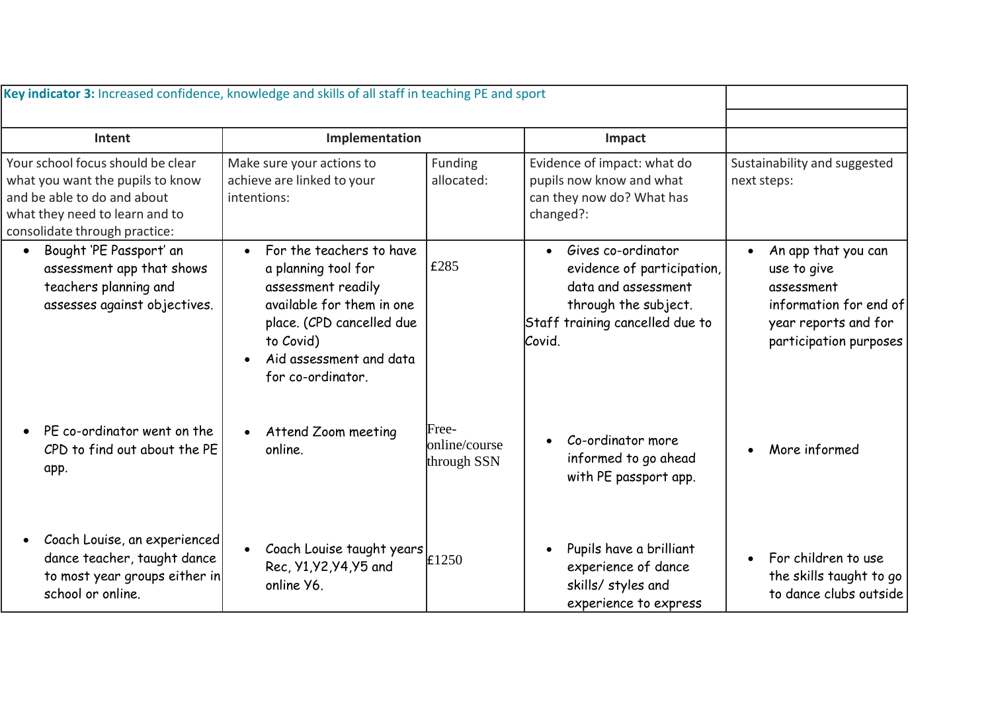| Key indicator 3: Increased confidence, knowledge and skills of all staff in teaching PE and sport                                                                       |                                                                                                                                                                                                           |                                       |                                                                                                                                                           |                                                                                                                              |
|-------------------------------------------------------------------------------------------------------------------------------------------------------------------------|-----------------------------------------------------------------------------------------------------------------------------------------------------------------------------------------------------------|---------------------------------------|-----------------------------------------------------------------------------------------------------------------------------------------------------------|------------------------------------------------------------------------------------------------------------------------------|
| Intent                                                                                                                                                                  | Implementation                                                                                                                                                                                            |                                       | Impact                                                                                                                                                    |                                                                                                                              |
| Your school focus should be clear<br>what you want the pupils to know<br>and be able to do and about<br>what they need to learn and to<br>consolidate through practice: | Make sure your actions to<br>achieve are linked to your<br>intentions:                                                                                                                                    | Funding<br>allocated:                 | Evidence of impact: what do<br>pupils now know and what<br>can they now do? What has<br>changed?:                                                         | Sustainability and suggested<br>next steps:                                                                                  |
| Bought 'PE Passport' an<br>$\bullet$<br>assessment app that shows<br>teachers planning and<br>assesses against objectives.                                              | For the teachers to have<br>$\bullet$<br>a planning tool for<br>assessment readily<br>available for them in one<br>place. (CPD cancelled due<br>to Covid)<br>Aid assessment and data<br>for co-ordinator. | £285                                  | Gives co-ordinator<br>$\bullet$<br>evidence of participation,<br>data and assessment<br>through the subject.<br>Staff training cancelled due to<br>Covid. | An app that you can<br>use to give<br>assessment<br>information for end of<br>year reports and for<br>participation purposes |
| PE co-ordinator went on the<br>CPD to find out about the PE<br>app.                                                                                                     | Attend Zoom meeting<br>online.                                                                                                                                                                            | Free-<br>online/course<br>through SSN | Co-ordinator more<br>informed to go ahead<br>with PE passport app.                                                                                        | More informed                                                                                                                |
| Coach Louise, an experienced<br>dance teacher, taught dance<br>to most year groups either in<br>school or online.                                                       | Coach Louise taught years $\left  \right $ £1250<br>Rec, Y1, Y2, Y4, Y5 and<br>online Y6.                                                                                                                 |                                       | Pupils have a brilliant<br>experience of dance<br>skills/ styles and<br>experience to express                                                             | For children to use<br>the skills taught to go<br>to dance clubs outside                                                     |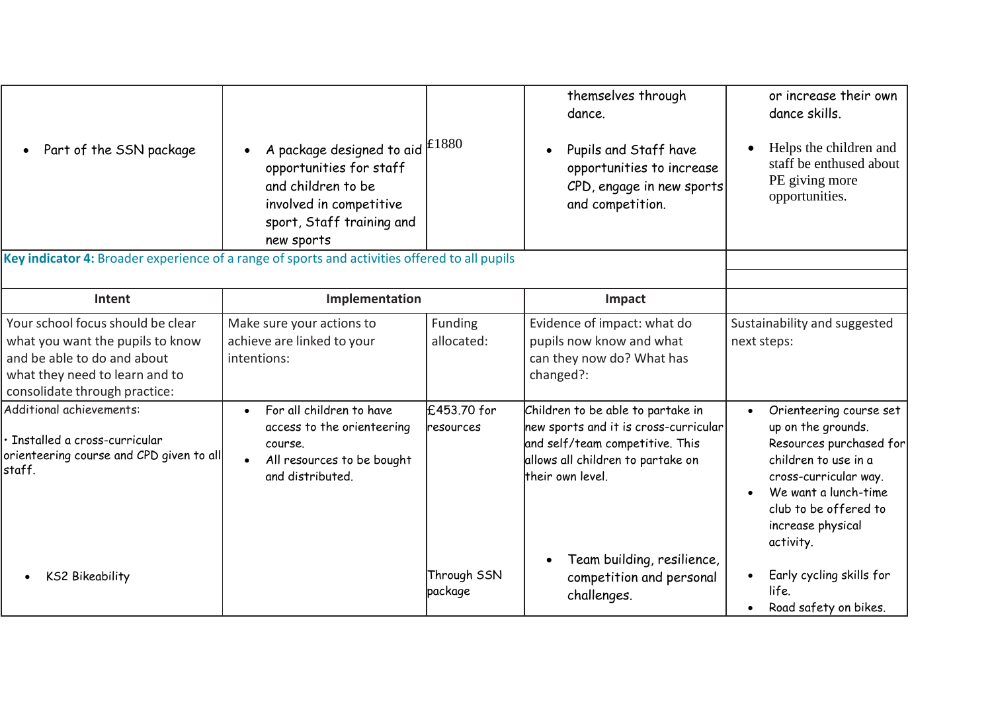| Part of the SSN package                                                                                                                                                 | A package designed to aid $ £1880$<br>opportunities for staff<br>and children to be<br>involved in competitive<br>sport, Staff training and |                          | themselves through<br>dance.<br>Pupils and Staff have<br>opportunities to increase<br>CPD, engage in new sports<br>and competition.                                    | or increase their own<br>dance skills.<br>Helps the children and<br>staff be enthused about<br>PE giving more<br>opportunities.                                                                              |
|-------------------------------------------------------------------------------------------------------------------------------------------------------------------------|---------------------------------------------------------------------------------------------------------------------------------------------|--------------------------|------------------------------------------------------------------------------------------------------------------------------------------------------------------------|--------------------------------------------------------------------------------------------------------------------------------------------------------------------------------------------------------------|
| Key indicator 4: Broader experience of a range of sports and activities offered to all pupils                                                                           | new sports                                                                                                                                  |                          |                                                                                                                                                                        |                                                                                                                                                                                                              |
|                                                                                                                                                                         |                                                                                                                                             |                          |                                                                                                                                                                        |                                                                                                                                                                                                              |
| Intent                                                                                                                                                                  | Implementation                                                                                                                              |                          | Impact                                                                                                                                                                 |                                                                                                                                                                                                              |
| Your school focus should be clear<br>what you want the pupils to know<br>and be able to do and about<br>what they need to learn and to<br>consolidate through practice: | Make sure your actions to<br>achieve are linked to your<br>intentions:                                                                      | Funding<br>allocated:    | Evidence of impact: what do<br>pupils now know and what<br>can they now do? What has<br>changed?:                                                                      | Sustainability and suggested<br>next steps:                                                                                                                                                                  |
| Additional achievements:<br>· Installed a cross-curricular<br>orienteering course and CPD given to all<br>staff.                                                        | For all children to have<br>$\bullet$<br>access to the orienteering<br>course.<br>All resources to be bought<br>and distributed.            | £453.70 for<br>resources | Children to be able to partake in<br>new sports and it is cross-curricular<br>and self/team competitive. This<br>allows all children to partake on<br>their own level. | Orienteering course set<br>up on the grounds.<br>Resources purchased for<br>children to use in a<br>cross-curricular way.<br>We want a lunch-time<br>club to be offered to<br>increase physical<br>activity. |
| <b>KS2 Bikeability</b>                                                                                                                                                  |                                                                                                                                             | Through SSN<br>package   | Team building, resilience,<br>competition and personal<br>challenges.                                                                                                  | Early cycling skills for<br>life.<br>Road safety on bikes.                                                                                                                                                   |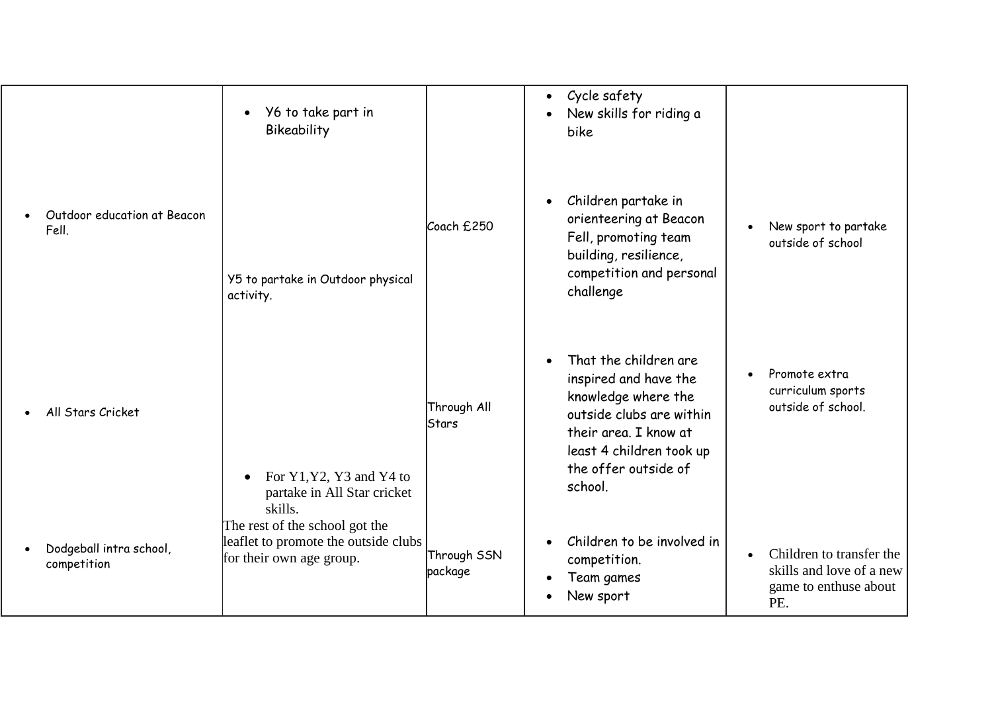|                                        | Y6 to take part in<br>$\bullet$<br>Bikeability                                                     |                             | Cycle safety<br>$\bullet$<br>New skills for riding a<br>$\bullet$<br>bike                                                                                                                              |                                                                                                   |
|----------------------------------------|----------------------------------------------------------------------------------------------------|-----------------------------|--------------------------------------------------------------------------------------------------------------------------------------------------------------------------------------------------------|---------------------------------------------------------------------------------------------------|
| Outdoor education at Beacon<br>Fell.   | Y5 to partake in Outdoor physical<br>activity.                                                     | Coach £250                  | Children partake in<br>$\bullet$<br>orienteering at Beacon<br>Fell, promoting team<br>building, resilience,<br>competition and personal<br>challenge                                                   | New sport to partake<br>$\bullet$<br>outside of school                                            |
| All Stars Cricket                      | For Y1, Y2, Y3 and Y4 to<br>partake in All Star cricket<br>skills.                                 | Through All<br><b>Stars</b> | That the children are<br>$\bullet$<br>inspired and have the<br>knowledge where the<br>outside clubs are within<br>their area. I know at<br>least 4 children took up<br>the offer outside of<br>school. | Promote extra<br>curriculum sports<br>outside of school.                                          |
| Dodgeball intra school,<br>competition | The rest of the school got the<br>leaflet to promote the outside clubs<br>for their own age group. | Through SSN<br>package      | Children to be involved in<br>$\bullet$<br>competition.<br>Team games<br>$\bullet$<br>New sport<br>$\bullet$                                                                                           | Children to transfer the<br>$\bullet$<br>skills and love of a new<br>game to enthuse about<br>PE. |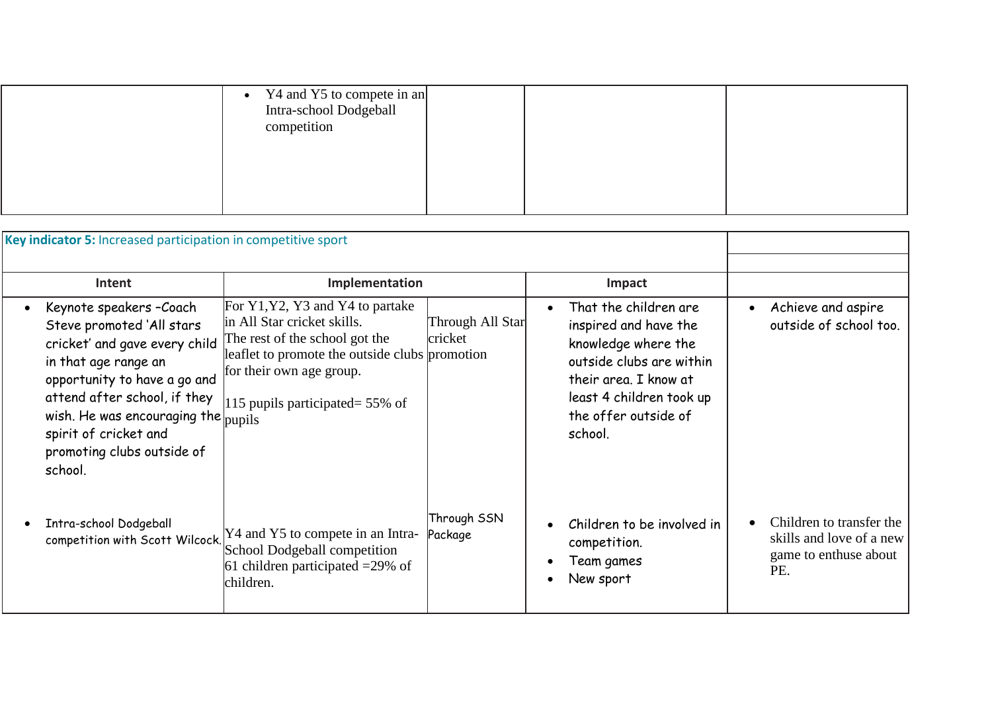| Y4 and Y5 to compete in an<br>$\bullet$<br>Intra-school Dodgeball<br>competition |  |  |
|----------------------------------------------------------------------------------|--|--|
|                                                                                  |  |  |

| Key indicator 5: Increased participation in competitive sport                                                                                                                                                                                                                                        |                                                                                                                                                                                                                        |                             |                                                                                                                                                                                           |                                                                                      |
|------------------------------------------------------------------------------------------------------------------------------------------------------------------------------------------------------------------------------------------------------------------------------------------------------|------------------------------------------------------------------------------------------------------------------------------------------------------------------------------------------------------------------------|-----------------------------|-------------------------------------------------------------------------------------------------------------------------------------------------------------------------------------------|--------------------------------------------------------------------------------------|
| Intent                                                                                                                                                                                                                                                                                               | Implementation                                                                                                                                                                                                         |                             | Impact                                                                                                                                                                                    |                                                                                      |
| Keynote speakers - Coach<br>Steve promoted 'All stars<br>cricket' and gave every child<br>in that age range an<br>opportunity to have a go and<br>attend after school, if they<br>wish. He was encouraging the $ _{\text{pupils}}$<br>spirit of cricket and<br>promoting clubs outside of<br>school. | For Y1, Y2, Y3 and Y4 to partake<br>in All Star cricket skills.<br>The rest of the school got the<br>leaflet to promote the outside clubs promotion<br>for their own age group.<br>115 pupils participated = $55\%$ of | Through All Star<br>cricket | That the children are<br>inspired and have the<br>knowledge where the<br>outside clubs are within<br>their area. I know at<br>least 4 children took up<br>the offer outside of<br>school. | Achieve and aspire<br>outside of school too.                                         |
| Intra-school Dodgeball                                                                                                                                                                                                                                                                               | competition with Scott Wilcock. $[$ Y4 and Y5 to compete in an Intra-<br>School Dodgeball competition<br>61 children participated $=$ 29% of<br>children.                                                              | Through SSN<br>Package      | Children to be involved in<br>competition.<br>Team games<br>New sport                                                                                                                     | Children to transfer the<br>skills and love of a new<br>game to enthuse about<br>PE. |